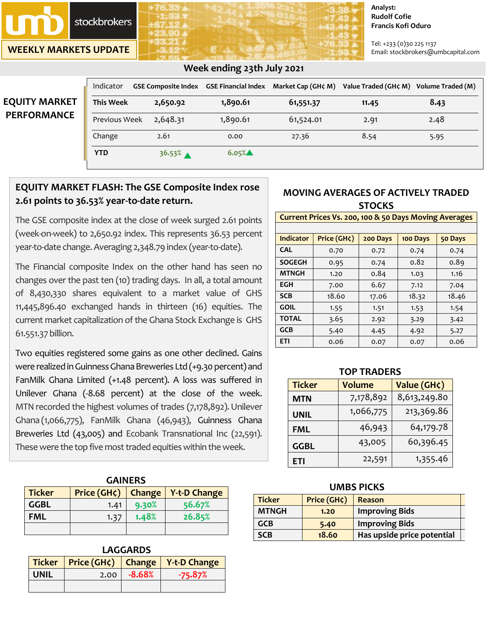

**WEEKLY MARKETS UPDATE**

#### **Analyst: Rudolf Cofie Francis Kofi Oduro**

Tel: +233 (0)30 225 1137 Email: stockbrokers@umbcapital.com

# **EQUITY MARKE PERFORMANCE**

## **Week ending 23th July 2021**

| Indicator        |          |          | GSE Composite Index GSE Financial Index Market Cap (GH¢ M) | Value Traded (GH¢ M) Volume Traded (M) |      |
|------------------|----------|----------|------------------------------------------------------------|----------------------------------------|------|
| <b>This Week</b> | 2,650.92 | 1,890.61 | 61,551.37                                                  | 11.45                                  | 8.43 |
| Previous Week    | 2,648.31 | 1,890.61 | 61,524.01                                                  | 2.91                                   | 2.48 |
| Change           | 2.61     | 0.00     | 27.36                                                      | 8.54                                   | 5.95 |
| <b>YTD</b>       | 36.53%   | $6.05\%$ |                                                            |                                        |      |

# **EQUITY MARKET FLASH: The GSE Composite Index rose 2.61 points to 36.53% year-to-date return.**

The GSE composite index at the close of week surged 2.61 points (week-on-week) to 2,650.92 index. This represents 36.53 percent year-to-date change. Averaging 2,348.79 index (year-to-date).

The Financial composite Index on the other hand has seen no changes over the past ten (10) trading days. In all, a total amount of 8,430,330 shares equivalent to a market value of GHS 11,445,896.40 exchanged hands in thirteen (16) equities. The current market capitalization of the Ghana Stock Exchange is GHS 61.551.37 billion.

Two equities registered some gains as one other declined. Gains were realized in Guinness Ghana Breweries Ltd (+9.30 percent) and FanMilk Ghana Limited (+1.48 percent). A loss was suffered in Unilever Ghana (-8.68 percent) at the close of the week. MTN recorded the highest volumes of trades (7,178,892). Unilever Ghana (1,066,775), FanMilk Ghana (46,943), Guinness Ghana Breweries Ltd (43,005) and Ecobank Transnational Inc (22,591). These were the top five most traded equities within the week.

| <b>GAINERS</b>                                                       |      |       |        |  |  |  |
|----------------------------------------------------------------------|------|-------|--------|--|--|--|
| Price (GH¢)<br><b>Ticker</b><br><b>Y-t-D Change</b><br><b>Change</b> |      |       |        |  |  |  |
| <b>GGBL</b>                                                          | 1.41 | 9.30% | 56.67% |  |  |  |
| <b>FML</b>                                                           | 1.37 | 1.48% | 26.85% |  |  |  |
|                                                                      |      |       |        |  |  |  |

| <b>LAGGARDS</b>                              |  |          |           |  |  |  |  |
|----------------------------------------------|--|----------|-----------|--|--|--|--|
| Ticker   Price (GH¢)   Change   Y-t-D Change |  |          |           |  |  |  |  |
| <b>UNIL</b><br>2.00                          |  | $-8.68%$ | $-75.87%$ |  |  |  |  |
|                                              |  |          |           |  |  |  |  |

## **MOVING AVERAGES OF ACTIVELY TRADED STOCKS**

#### **Current Prices Vs. 200, 100 & 50 Days Moving Averages**

| <b>Indicator</b> | Price (GH¢) | 200 Days | 100 Days | 50 Days |
|------------------|-------------|----------|----------|---------|
| <b>CAL</b>       | 0.70        | 0.72     | 0.74     | 0.74    |
| <b>SOGEGH</b>    | 0.95        | 0.74     | 0.82     | 0.89    |
| <b>MTNGH</b>     | 1.20        | 0.84     | 1.03     | 1.16    |
| <b>EGH</b>       | 7.00        | 6.67     | 7.12     | 7.04    |
| <b>SCB</b>       | 18.60       | 17.06    | 18.32    | 18.46   |
| <b>GOIL</b>      | 1.55        | 1.51     | 1.53     | 1.54    |
| <b>TOTAL</b>     | 3.65        | 2.92     | 3.29     | 3.42    |
| <b>GCB</b>       | 5.40        | 4.45     | 4.92     | 5.27    |
| <b>ETI</b>       | 0.06        | 0.07     | 0.07     | 0.06    |

### **TOP TRADERS**

| <b>Ticker</b> | <b>Volume</b> | Value (GH¢)  |
|---------------|---------------|--------------|
| <b>MTN</b>    | 7,178,892     | 8,613,249.80 |
| UNIL          | 1,066,775     | 213,369.86   |
| FML           | 46,943        | 64,179.78    |
| <b>GGBL</b>   | 43,005        | 60,396.45    |
| ETI           | 22,591        | 1,355.46     |

### **UMBS PICKS**

| <b>Ticker</b> | Price (GH¢) | Reason                     |
|---------------|-------------|----------------------------|
| <b>MTNGH</b>  | 1.20        | <b>Improving Bids</b>      |
| <b>GCB</b>    | 5.40        | <b>Improving Bids</b>      |
| <b>SCB</b>    | 18.60       | Has upside price potential |